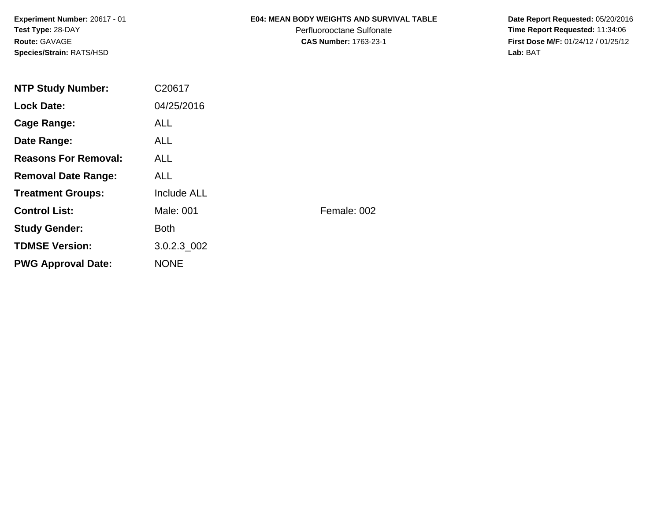**Experiment Number:** 20617 - 01**Test Type:** 28-DAY**Route:** GAVAGE**Species/Strain:** RATS/HSD

### **E04: MEAN BODY WEIGHTS AND SURVIVAL TABLE**

Perfluorooctane Sulfonate<br>CAS Number: 1763-23-1

 **Date Report Requested:** 05/20/2016 **Time Report Requested:** 11:34:06 **First Dose M/F:** 01/24/12 / 01/25/12<br>Lab: BAT **Lab:** BAT

| <b>NTP Study Number:</b>    | C20617             |             |
|-----------------------------|--------------------|-------------|
| <b>Lock Date:</b>           | 04/25/2016         |             |
| Cage Range:                 | <b>ALL</b>         |             |
| Date Range:                 | ALL.               |             |
| <b>Reasons For Removal:</b> | <b>ALL</b>         |             |
| <b>Removal Date Range:</b>  | ALL                |             |
| <b>Treatment Groups:</b>    | <b>Include ALL</b> |             |
| <b>Control List:</b>        | Male: 001          | Female: 002 |
| <b>Study Gender:</b>        | <b>Both</b>        |             |
| <b>TDMSE Version:</b>       | $3.0.2.3\_002$     |             |
| <b>PWG Approval Date:</b>   | <b>NONE</b>        |             |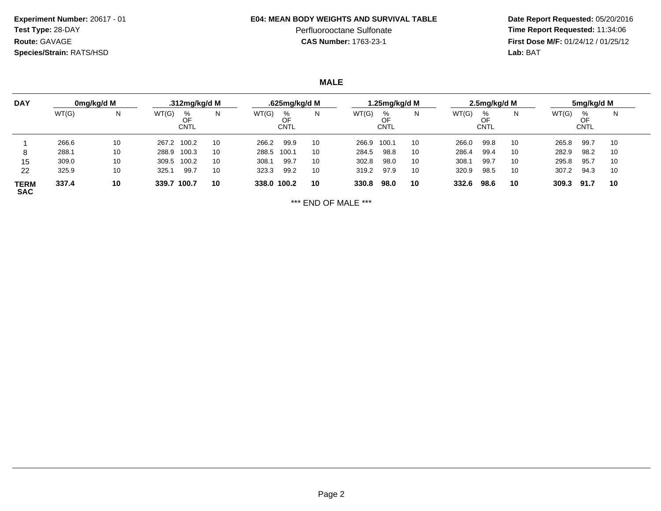**Experiment Number:** 20617 - 01**Test Type:** 28-DAY**Route:** GAVAGE**Species/Strain:** RATS/HSD

### **E04: MEAN BODY WEIGHTS AND SURVIVAL TABLE**

# Perfluorooctane Sulfonate<br>CAS Number: 1763-23-1

 **Date Report Requested:** 05/20/2016 **Time Report Requested:** 11:34:06 **First Dose M/F:** 01/24/12 / 01/25/12<br>**Lab:** BAT **Lab:** BAT

**MALE**

| <b>DAY</b>         |       | 0mg/kg/d M |       | .312mg/kg/d M          |    |             | .625mg/kg/d M   |    |       | 1.25mg/kg/d M          |    |       | 2.5mg/kg/d M    |    |       | 5mg/kg/d M             |    |
|--------------------|-------|------------|-------|------------------------|----|-------------|-----------------|----|-------|------------------------|----|-------|-----------------|----|-------|------------------------|----|
|                    | WT(G) | N          | WT(G) | %<br>OF<br><b>CNTL</b> | Ν  | WT(G)       | %<br>OF<br>CNTL | N. | WT(G) | %<br>OF<br><b>CNTL</b> | N  | WT(G) | %<br>OF<br>CNTL | Ν  | WT(G) | %<br>OF<br><b>CNTL</b> | N  |
|                    | 266.6 | 10         | 267.2 | 100.2                  | 10 | 266.2       | 99.9            | 10 | 266.9 | 100.1                  | 10 | 266.0 | 99.8            | 10 | 265.8 | 99.7                   | 10 |
| 8                  | 288.1 | 10         | 288.9 | 100.3                  | 10 | 288.5       | 100.1           | 10 | 284.5 | 98.8                   | 10 | 286.4 | 99.4            | 10 | 282.9 | 98.2                   | 10 |
| 15                 | 309.0 | 10         | 309.5 | 100.2                  | 10 | 308.1       | 99.7            | 10 | 302.8 | 98.0                   | 10 | 308.  | 99.7            | 10 | 295.8 | 95.7                   | 10 |
| 22                 | 325.9 | 10         | 325.  | 99.7                   | 10 | 323.3       | 99.2            | 10 | 319.2 | 97.9                   | 10 | 320.9 | 98.5            | 10 | 307.2 | 94.3                   | 10 |
| TERM<br><b>SAC</b> | 337.4 | 10         | 339.7 | 100.7                  | 10 | 338.0 100.2 |                 | 10 | 330.8 | 98.0                   | 10 | 332.6 | 98.6            | 10 | 309.3 | 91.7                   | 10 |

\*\*\* END OF MALE \*\*\*